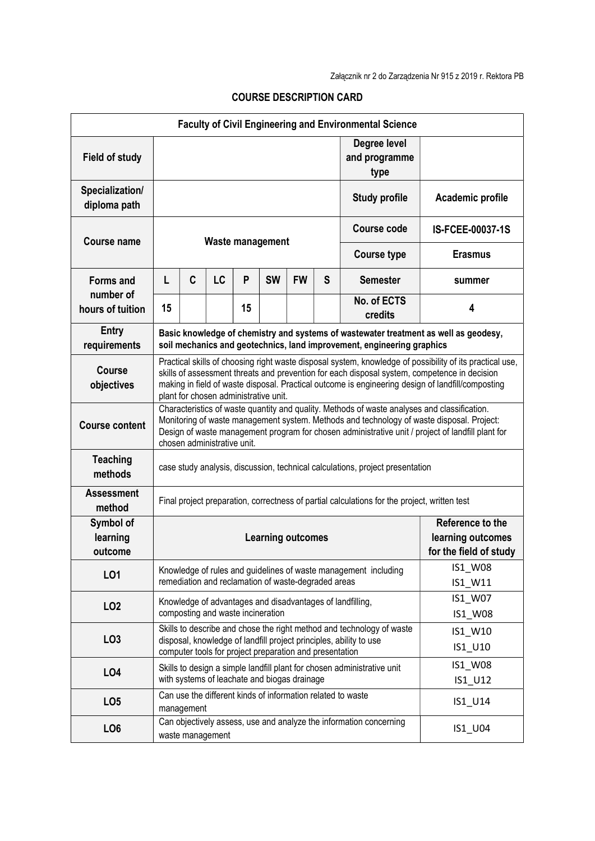|                                 |                                                                                                                                                                                                                                                                                                                                                        |            |                  |    |                                                         |           |   | <b>Faculty of Civil Engineering and Environmental Science</b>           |                                                                                      |
|---------------------------------|--------------------------------------------------------------------------------------------------------------------------------------------------------------------------------------------------------------------------------------------------------------------------------------------------------------------------------------------------------|------------|------------------|----|---------------------------------------------------------|-----------|---|-------------------------------------------------------------------------|--------------------------------------------------------------------------------------|
| <b>Field of study</b>           |                                                                                                                                                                                                                                                                                                                                                        |            |                  |    |                                                         |           |   | Degree level<br>and programme<br>type                                   |                                                                                      |
| Specialization/<br>diploma path |                                                                                                                                                                                                                                                                                                                                                        |            |                  |    |                                                         |           |   | <b>Study profile</b>                                                    | Academic profile                                                                     |
|                                 | <b>Waste management</b>                                                                                                                                                                                                                                                                                                                                |            |                  |    |                                                         |           |   | Course code                                                             | IS-FCEE-00037-1S                                                                     |
| <b>Course name</b>              |                                                                                                                                                                                                                                                                                                                                                        |            |                  |    |                                                         |           |   | <b>Course type</b>                                                      | <b>Erasmus</b>                                                                       |
| <b>Forms and</b>                | L                                                                                                                                                                                                                                                                                                                                                      | C          | LC               | P  | <b>SW</b>                                               | <b>FW</b> | S | <b>Semester</b>                                                         | summer                                                                               |
| number of<br>hours of tuition   | 15                                                                                                                                                                                                                                                                                                                                                     |            |                  | 15 |                                                         |           |   | No. of ECTS<br>credits                                                  | 4                                                                                    |
| <b>Entry</b><br>requirements    |                                                                                                                                                                                                                                                                                                                                                        |            |                  |    |                                                         |           |   | soil mechanics and geotechnics, land improvement, engineering graphics  | Basic knowledge of chemistry and systems of wastewater treatment as well as geodesy, |
| Course<br>objectives            | Practical skills of choosing right waste disposal system, knowledge of possibility of its practical use,<br>skills of assessment threats and prevention for each disposal system, competence in decision<br>making in field of waste disposal. Practical outcome is engineering design of landfill/composting<br>plant for chosen administrative unit. |            |                  |    |                                                         |           |   |                                                                         |                                                                                      |
| <b>Course content</b>           | Characteristics of waste quantity and quality. Methods of waste analyses and classification.<br>Monitoring of waste management system. Methods and technology of waste disposal. Project:<br>Design of waste management program for chosen administrative unit / project of landfill plant for<br>chosen administrative unit.                          |            |                  |    |                                                         |           |   |                                                                         |                                                                                      |
| <b>Teaching</b><br>methods      | case study analysis, discussion, technical calculations, project presentation                                                                                                                                                                                                                                                                          |            |                  |    |                                                         |           |   |                                                                         |                                                                                      |
| <b>Assessment</b><br>method     | Final project preparation, correctness of partial calculations for the project, written test                                                                                                                                                                                                                                                           |            |                  |    |                                                         |           |   |                                                                         |                                                                                      |
| Symbol of                       |                                                                                                                                                                                                                                                                                                                                                        |            |                  |    |                                                         |           |   |                                                                         | Reference to the                                                                     |
| learning<br>outcome             |                                                                                                                                                                                                                                                                                                                                                        |            |                  |    | <b>Learning outcomes</b>                                |           |   |                                                                         | learning outcomes<br>for the field of study                                          |
| LO1                             | IS1_W08<br>Knowledge of rules and guidelines of waste management including<br>remediation and reclamation of waste-degraded areas                                                                                                                                                                                                                      |            |                  |    |                                                         | IS1_W11   |   |                                                                         |                                                                                      |
| LO <sub>2</sub>                 | Knowledge of advantages and disadvantages of landfilling,                                                                                                                                                                                                                                                                                              |            |                  |    |                                                         | IS1_W07   |   |                                                                         |                                                                                      |
|                                 | composting and waste incineration<br>Skills to describe and chose the right method and technology of waste                                                                                                                                                                                                                                             |            |                  |    |                                                         |           |   |                                                                         | IS1_W08<br>IS1_W10                                                                   |
| LO <sub>3</sub>                 |                                                                                                                                                                                                                                                                                                                                                        |            |                  |    | computer tools for project preparation and presentation |           |   | disposal, knowledge of landfill project principles, ability to use      | IS1_U10                                                                              |
| LO <sub>4</sub>                 |                                                                                                                                                                                                                                                                                                                                                        |            |                  |    | with systems of leachate and biogas drainage            |           |   | Skills to design a simple landfill plant for chosen administrative unit | IS1_W08<br>IS1_U12                                                                   |
| LO <sub>5</sub>                 |                                                                                                                                                                                                                                                                                                                                                        | management |                  |    |                                                         |           |   | Can use the different kinds of information related to waste             | IS1_U14                                                                              |
| LO <sub>6</sub>                 |                                                                                                                                                                                                                                                                                                                                                        |            | waste management |    |                                                         |           |   | Can objectively assess, use and analyze the information concerning      | IS1_U04                                                                              |

## COURSE DESCRIPTION CARD